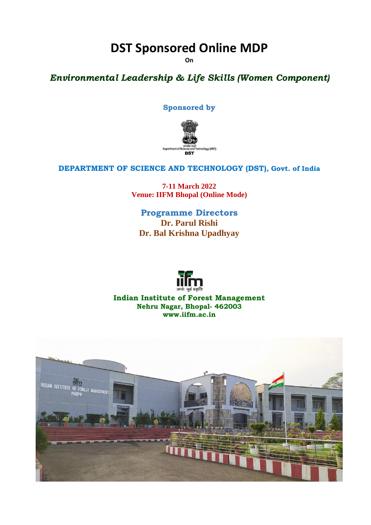# **DST Sponsored Online MDP**

**On** 

## Environmental Leadership & Life Skills (Women Component)

**Sponsored by** av (DST) <sub>ence and</sub><br>DST

## **DEPARTMENT OF SCIENCE AND TECHNOLOGY (DST), Govt. of India**

**7-11 March 2022 Venue: IIFM Bhopal (Online Mode)**

**Programme Directors Dr. Parul Rishi Dr. Bal Krishna Upadhyay**



**Indian Institute of Forest Management Nehru Nagar, Bhopal- 462003 www.iifm.ac.in**

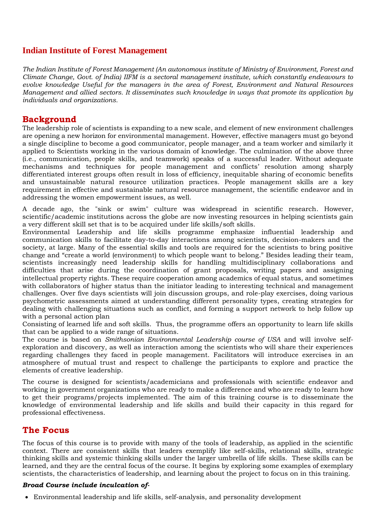#### **Indian Institute of Forest Management**

*The Indian Institute of Forest Management (An autonomous institute of Ministry of Environment, Forest and Climate Change, Govt. of India) IIFM is a sectoral management institute, which constantly endeavours to evolve knowledge Useful for the managers in the area of Forest, Environment and Natural Resources Management and allied sectors. It disseminates such knowledge in ways that promote its application by individuals and organizations.*

#### **Background**

The leadership role of scientists is expanding to a new scale, and element of new environment challenges are opening a new horizon for environmental management. However, effective managers must go beyond a single discipline to become a good communicator, people manager, and a team worker and similarly it applied to Scientists working in the various domain of knowledge. The culmination of the above three (i.e., communication, people skills, and teamwork) speaks of a successful leader. Without adequate mechanisms and techniques for people management and conflicts' resolution among sharply differentiated interest groups often result in loss of efficiency, inequitable sharing of economic benefits and unsustainable natural resource utilization practices. People management skills are a key requirement in effective and sustainable natural resource management, the scientific endeavor and in addressing the women empowerment issues, as well.

A decade ago, the "sink or swim" culture was widespread in scientific research. However, scientific/academic institutions across the globe are now investing resources in helping scientists gain a very different skill set that is to be acquired under life skills/soft skills.

Environmental Leadership and life skills programme emphasize influential leadership and communication skills to facilitate day-to-day interactions among scientists, decision-makers and the society, at large. Many of the essential skills and tools are required for the scientists to bring positive change and "create a world (environment) to which people want to belong." Besides leading their team, scientists increasingly need leadership skills for handling multidisciplinary collaborations and difficulties that arise during the coordination of grant proposals, writing papers and assigning intellectual property rights. These require cooperation among academics of equal status, and sometimes with collaborators of higher status than the initiator leading to interesting technical and management challenges. Over five days scientists will join discussion groups, and role-play exercises, doing various psychometric assessments aimed at understanding different personality types, creating strategies for dealing with challenging situations such as conflict, and forming a support network to help follow up with a personal action plan

Consisting of learned life and soft skills. Thus, the programme offers an opportunity to learn life skills that can be applied to a wide range of situations.

The course is based on *Smithsonian Environmental Leadership course of USA* and will involve selfexploration and discovery, as well as interaction among the scientists who will share their experiences regarding challenges they faced in people management. Facilitators will introduce exercises in an atmosphere of mutual trust and respect to challenge the participants to explore and practice the elements of creative leadership.

The course is designed for scientists/academicians and professionals with scientific endeavor and working in government organizations who are ready to make a difference and who are ready to learn how to get their programs/projects implemented. The aim of this training course is to disseminate the knowledge of environmental leadership and life skills and build their capacity in this regard for professional effectiveness.

#### **The Focus**

The focus of this course is to provide with many of the tools of leadership, as applied in the scientific context. There are consistent skills that leaders exemplify like self-skills, relational skills, strategic thinking skills and systemic thinking skills under the larger umbrella of life skills. These skills can be learned, and they are the central focus of the course. It begins by exploring some examples of exemplary scientists, the characteristics of leadership, and learning about the project to focus on in this training.

#### *Broad Course include inculcation of-*

Environmental leadership and life skills, self-analysis, and personality development